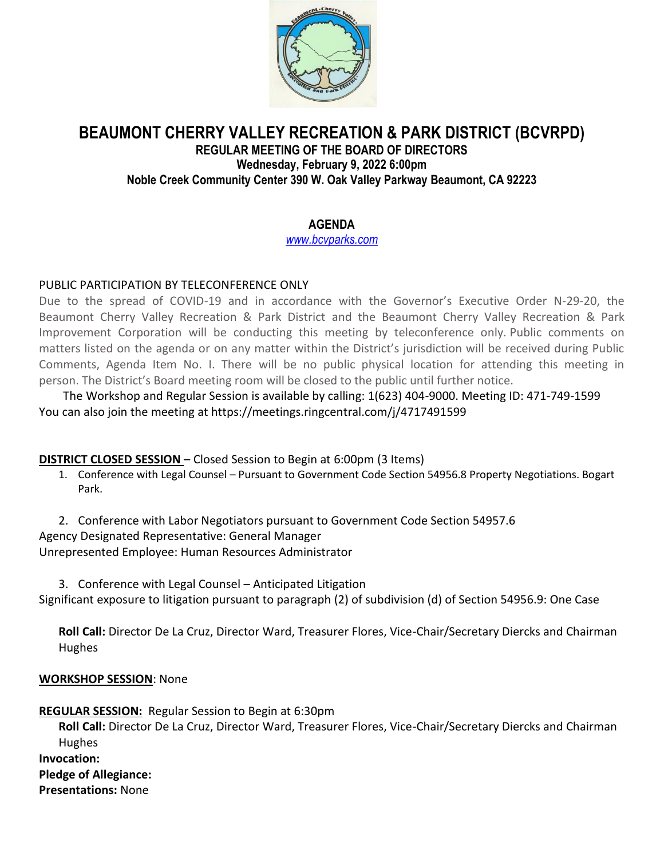

# **BEAUMONT CHERRY VALLEY RECREATION & PARK DISTRICT (BCVRPD) REGULAR MEETING OF THE BOARD OF DIRECTORS Wednesday, February 9, 2022 6:00pm Noble Creek Community Center 390 W. Oak Valley Parkway Beaumont, CA 92223**

# **AGENDA**

*[www.bcvparks.com](http://www.bcvparks.com/)*

## PUBLIC PARTICIPATION BY TELECONFERENCE ONLY

Due to the spread of COVID-19 and in accordance with the Governor's Executive Order N-29-20, the Beaumont Cherry Valley Recreation & Park District and the Beaumont Cherry Valley Recreation & Park Improvement Corporation will be conducting this meeting by teleconference only. Public comments on matters listed on the agenda or on any matter within the District's jurisdiction will be received during Public Comments, Agenda Item No. I. There will be no public physical location for attending this meeting in person. The District's Board meeting room will be closed to the public until further notice.

The Workshop and Regular Session is available by calling: 1(623) 404-9000. Meeting ID: 471-749-1599 You can also join the meeting at https://meetings.ringcentral.com/j/4717491599

## **DISTRICT CLOSED SESSION** – Closed Session to Begin at 6:00pm (3 Items)

- 1. Conference with Legal Counsel Pursuant to Government Code Section 54956.8 Property Negotiations. Bogart Park.
- 2. Conference with Labor Negotiators pursuant to Government Code Section 54957.6 Agency Designated Representative: General Manager

Unrepresented Employee: Human Resources Administrator

3. Conference with Legal Counsel – Anticipated Litigation Significant exposure to litigation pursuant to paragraph (2) of subdivision (d) of Section 54956.9: One Case

**Roll Call:** Director De La Cruz, Director Ward, Treasurer Flores, Vice-Chair/Secretary Diercks and Chairman Hughes

### **WORKSHOP SESSION**: None

**REGULAR SESSION:** Regular Session to Begin at 6:30pm

**Roll Call:** Director De La Cruz, Director Ward, Treasurer Flores, Vice-Chair/Secretary Diercks and Chairman Hughes

**Invocation:**

**Pledge of Allegiance:**

**Presentations:** None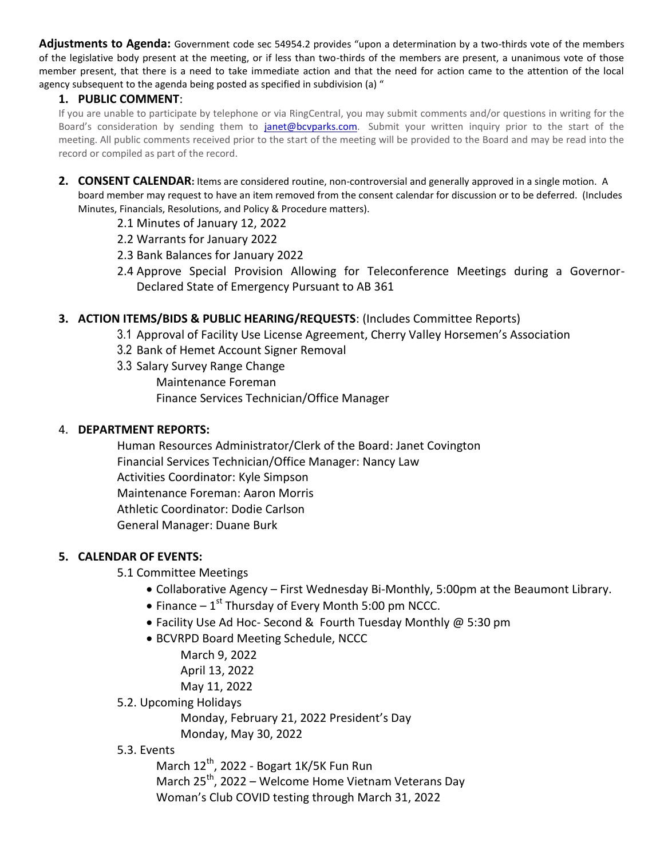**Adjustments to Agenda:** Government code sec 54954.2 provides "upon a determination by a two-thirds vote of the members of the legislative body present at the meeting, or if less than two-thirds of the members are present, a unanimous vote of those member present, that there is a need to take immediate action and that the need for action came to the attention of the local agency subsequent to the agenda being posted as specified in subdivision (a) "

### **1. PUBLIC COMMENT**:

If you are unable to participate by telephone or via RingCentral, you may submit comments and/or questions in writing for the Board's consideration by sending them to *janet@bcvparks.com*. Submit your written inquiry prior to the start of the meeting. All public comments received prior to the start of the meeting will be provided to the Board and may be read into the record or compiled as part of the record.

- **2. CONSENT CALENDAR:** Items are considered routine, non-controversial and generally approved in a single motion. A board member may request to have an item removed from the consent calendar for discussion or to be deferred. (Includes Minutes, Financials, Resolutions, and Policy & Procedure matters).
	- 2.1 Minutes of January 12, 2022
	- 2.2 Warrants for January 2022
	- 2.3 Bank Balances for January 2022
	- 2.4 Approve Special Provision Allowing for Teleconference Meetings during a Governor-Declared State of Emergency Pursuant to AB 361

### **3. ACTION ITEMS/BIDS & PUBLIC HEARING/REQUESTS**: (Includes Committee Reports)

- 3.1 Approval of Facility Use License Agreement, Cherry Valley Horsemen's Association
- 3.2 Bank of Hemet Account Signer Removal
- 3.3 Salary Survey Range Change Maintenance Foreman Finance Services Technician/Office Manager

#### 4. **DEPARTMENT REPORTS:**

Human Resources Administrator/Clerk of the Board: Janet Covington Financial Services Technician/Office Manager: Nancy Law Activities Coordinator: Kyle Simpson Maintenance Foreman: Aaron Morris Athletic Coordinator: Dodie Carlson General Manager: Duane Burk

#### **5. CALENDAR OF EVENTS:**

5.1 Committee Meetings

- Collaborative Agency First Wednesday Bi-Monthly, 5:00pm at the Beaumont Library.
- $\bullet$  Finance 1<sup>st</sup> Thursday of Every Month 5:00 pm NCCC.
- Facility Use Ad Hoc- Second & Fourth Tuesday Monthly @ 5:30 pm
- BCVRPD Board Meeting Schedule, NCCC
	- March 9, 2022 April 13, 2022 May 11, 2022
- 5.2. Upcoming Holidays
	- Monday, February 21, 2022 President's Day
	- Monday, May 30, 2022

## 5.3. Events

March 12<sup>th</sup>, 2022 - Bogart 1K/5K Fun Run March  $25^{th}$ , 2022 – Welcome Home Vietnam Veterans Day Woman's Club COVID testing through March 31, 2022